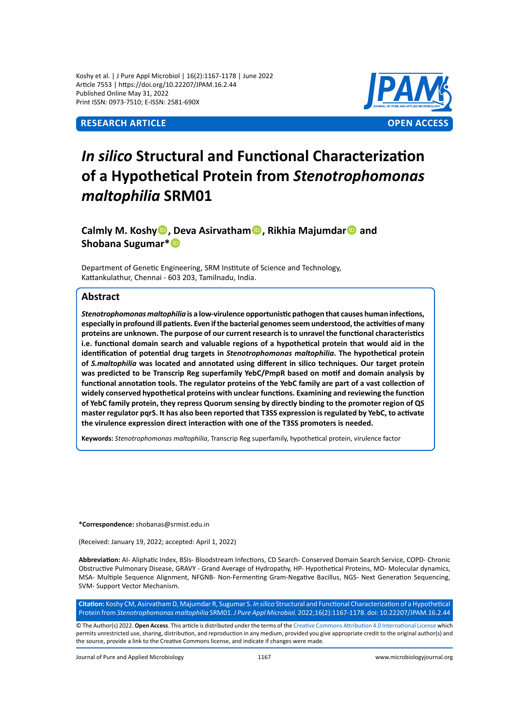Koshy et al. | J Pure Appl Microbiol | 16(2):1167-1178 | June 2022 Article 7553 | https://doi.org/10.22207/JPAM.16.2.44 Published Online May 31, 2022 Print ISSN: 0973-7510; E-ISSN: 2581-690X



# *In silico* **Structural and Functional Characterization of a Hypothetical Protein from** *Stenotrophomonas maltophilia* **SRM01**

**Calmly M. Koshy, Deva Asirvatham, Rikhia Majumdar and Shobana Sugumar\***

Department of Genetic Engineering, SRM Institute of Science and Technology, Kattankulathur, Chennai - 603 203, Tamilnadu, India.

# **Abstract**

*Stenotrophomonas maltophilia* **is a low-virulence opportunistic pathogen that causes human infections, especially in profound ill patients. Even if the bacterial genomes seem understood, the activities of many proteins are unknown. The purpose of our current research is to unravel the functional characteristics i.e. functional domain search and valuable regions of a hypothetical protein that would aid in the identification of potential drug targets in** *Stenotrophomonas maltophilia***. The hypothetical protein of** *S.maltophilia* **was located and annotated using different in silico techniques. Our target protein was predicted to be Transcrip Reg superfamily YebC/PmpR based on motif and domain analysis by functional annotation tools. The regulator proteins of the YebC family are part of a vast collection of widely conserved hypothetical proteins with unclear functions. Examining and reviewing the function of YebC family protein, they repress Quorum sensing by directly binding to the promoter region of QS master regulator pqrS. It has also been reported that T3SS expression is regulated by YebC, to activate the virulence expression direct interaction with one of the T3SS promoters is needed.** 

**Keywords:** *Stenotrophomonas maltophilia*, Transcrip Reg superfamily, hypothetical protein, virulence factor

**\*Correspondence:** shobanas@srmist.edu.in

(Received: January 19, 2022; accepted: April 1, 2022)

**Abbreviation:** AI- Aliphatic Index, BSIs- Bloodstream Infections, CD Search- Conserved Domain Search Service, COPD- Chronic Obstructive Pulmonary Disease, GRAVY - Grand Average of Hydropathy, HP- Hypothetical Proteins, MD- Molecular dynamics, MSA- Multiple Sequence Alignment, NFGNB- Non-Fermenting Gram-Negative Bacillus, NGS- Next Generation Sequencing, SVM- Support Vector Mechanism.

**Citation:** Koshy CM, Asirvatham D, Majumdar R, Sugumar S. *In silico* Structural and Functional Characterization of a Hypothetical Protein from *Stenotrophomonas maltophilia* SRM01. *J Pure Appl Microbiol.* 2022;16(2):1167-1178. doi: 10.22207/JPAM.16.2.44

© The Author(s) 2022. **Open Access**. This article is distributed under the terms of the [Creative Commons Attribution 4.0 International License](https://creativecommons.org/licenses/by/4.0/) which permits unrestricted use, sharing, distribution, and reproduction in any medium, provided you give appropriate credit to the original author(s) and the source, provide a link to the Creative Commons license, and indicate if changes were made.

Journal of Pure and Applied Microbiology 1167 www.microbiologyjournal.org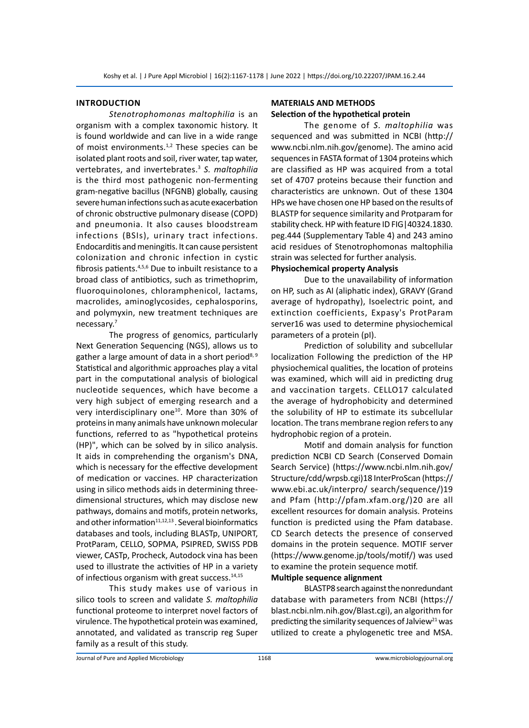#### **Introduction**

*Stenotrophomonas maltophilia* is an organism with a complex taxonomic history. It is found worldwide and can live in a wide range of moist environments.<sup>1,2</sup> These species can be isolated plant roots and soil, river water, tap water, vertebrates, and invertebrates.<sup>3</sup> *S. maltophilia*  is the third most pathogenic non-fermenting gram-negative bacillus (NFGNB) globally, causing severe human infections such as acute exacerbation of chronic obstructive pulmonary disease (COPD) and pneumonia. It also causes bloodstream infections (BSIs), urinary tract infections. Endocarditis and meningitis. It can cause persistent colonization and chronic infection in cystic fibrosis patients.4,5,6 Due to inbuilt resistance to a broad class of antibiotics, such as trimethoprim, fluoroquinolones, chloramphenicol, lactams, macrolides, aminoglycosides, cephalosporins, and polymyxin, new treatment techniques are necessary.7

The progress of genomics, particularly Next Generation Sequencing (NGS), allows us to gather a large amount of data in a short period<sup>8, 9</sup> Statistical and algorithmic approaches play a vital part in the computational analysis of biological nucleotide sequences, which have become a very high subject of emerging research and a very interdisciplinary one<sup>10</sup>. More than 30% of proteins in many animals have unknown molecular functions, referred to as "hypothetical proteins (HP)", which can be solved by in silico analysis. It aids in comprehending the organism's DNA, which is necessary for the effective development of medication or vaccines. HP characterization using in silico methods aids in determining threedimensional structures, which may disclose new pathways, domains and motifs, protein networks, and other information $11,12,13$ . Several bioinformatics databases and tools, including BLASTp, UNIPORT, ProtParam, CELLO, SOPMA, PSIPRED, SWISS PDB viewer, CASTp, Procheck, Autodock vina has been used to illustrate the activities of HP in a variety of infectious organism with great success. $14,15$ 

This study makes use of various in silico tools to screen and validate *S. maltophilia*  functional proteome to interpret novel factors of virulence. The hypothetical protein was examined, annotated, and validated as transcrip reg Super family as a result of this study.

# **MATERIALS AND METHODS Selection of the hypothetical protein**

The genome of *S. maltophilia* was sequenced and was submitted in NCBI (http:// www.ncbi.nlm.nih.gov/genome). The amino acid sequences in FASTA format of 1304 proteins which are classified as HP was acquired from a total set of 4707 proteins because their function and characteristics are unknown. Out of these 1304 HPs we have chosen one HP based on the results of BLASTP for sequence similarity and Protparam for stability check. HP with feature ID FIG|40324.1830. peg.444 (Supplementary Table 4) and 243 amino acid residues of Stenotrophomonas maltophilia strain was selected for further analysis.

# **Physiochemical property Analysis**

Due to the unavailability of information on HP, such as AI (aliphatic index), GRAVY (Grand average of hydropathy), Isoelectric point, and extinction coefficients, Expasy's ProtParam server16 was used to determine physiochemical parameters of a protein (pI).

Prediction of solubility and subcellular localization Following the prediction of the HP physiochemical qualities, the location of proteins was examined, which will aid in predicting drug and vaccination targets. CELLO17 calculated the average of hydrophobicity and determined the solubility of HP to estimate its subcellular location. The trans membrane region refers to any hydrophobic region of a protein.

Motif and domain analysis for function prediction NCBI CD Search (Conserved Domain Search Service) (https://www.ncbi.nlm.nih.gov/ Structure/cdd/wrpsb.cgi)18 InterProScan (https:// www.ebi.ac.uk/interpro/ search/sequence/)19 and Pfam (http://pfam.xfam.org/)20 are all excellent resources for domain analysis. Proteins function is predicted using the Pfam database. CD Search detects the presence of conserved domains in the protein sequence. MOTIF server (https://www.genome.jp/tools/motif/) was used to examine the protein sequence motif.

# **Multiple sequence alignment**

BLASTP8 search against the nonredundant database with parameters from NCBI (https:// blast.ncbi.nlm.nih.gov/Blast.cgi), an algorithm for predicting the similarity sequences of Jalview $21$  was utilized to create a phylogenetic tree and MSA.

Journal of Pure and Applied Microbiology 1168 www.microbiologyjournal.org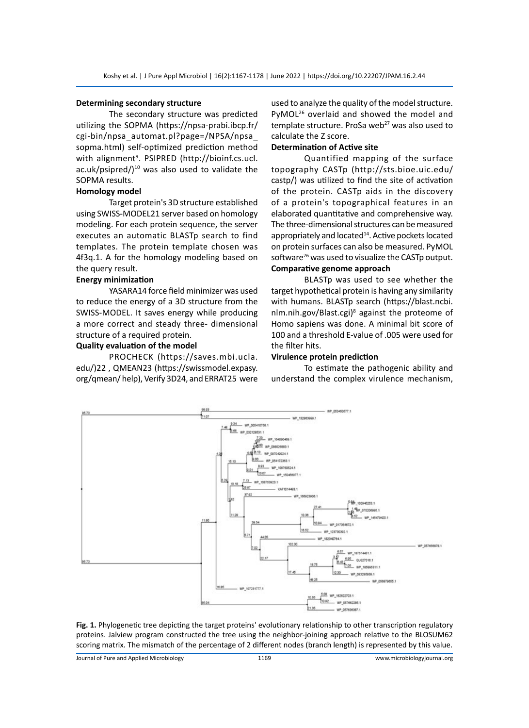#### **Determining secondary structure**

The secondary structure was predicted utilizing the SOPMA (https://npsa-prabi.ibcp.fr/ cgi-bin/npsa\_automat.pl?page=/NPSA/npsa\_ sopma.html) self-optimized prediction method with alignment<sup>9</sup>. PSIPRED (http://bioinf.cs.ucl. ac.uk/psipred/ $)^{10}$  was also used to validate the SOPMA results.

## **Homology model**

Target protein's 3D structure established using SWISS-MODEL21 server based on homology modeling. For each protein sequence, the server executes an automatic BLASTp search to find templates. The protein template chosen was 4f3q.1. A for the homology modeling based on the query result.

## **Energy minimization**

YASARA14 force field minimizer was used to reduce the energy of a 3D structure from the SWISS-MODEL. It saves energy while producing a more correct and steady three- dimensional structure of a required protein.

#### **Quality evaluation of the model**

PROCHECK (https://saves.mbi.ucla. edu/)22 , QMEAN23 (https://swissmodel.expasy. org/qmean/ help), Verify 3D24, and ERRAT25 were used to analyze the quality of the model structure. PyMOL<sup>26</sup> overlaid and showed the model and template structure. ProSa web<sup>27</sup> was also used to calculate the Z score.

## **Determination of Active site**

Quantified mapping of the surface topography CASTp (http://sts.bioe.uic.edu/ castp/) was utilized to find the site of activation of the protein. CASTp aids in the discovery of a protein's topographical features in an elaborated quantitative and comprehensive way. The three-dimensional structures can be measured appropriately and located<sup>14</sup>. Active pockets located on protein surfaces can also be measured. PyMOL software $^{26}$  was used to visualize the CASTp output. **Comparative genome approach**

BLASTp was used to see whether the target hypothetical protein is having any similarity with humans. BLASTp search (https://blast.ncbi. nlm.nih.gov/Blast.cgi)<sup>8</sup> against the proteome of Homo sapiens was done. A minimal bit score of 100 and a threshold E-value of .005 were used for the filter hits.

#### **Virulence protein prediction**

To estimate the pathogenic ability and understand the complex virulence mechanism,



**Fig. 1.** Phylogenetic tree depicting the target proteins' evolutionary relationship to other transcription regulatory proteins. Jalview program constructed the tree using the neighbor-joining approach relative to the BLOSUM62 scoring matrix. The mismatch of the percentage of 2 different nodes (branch length) is represented by this value.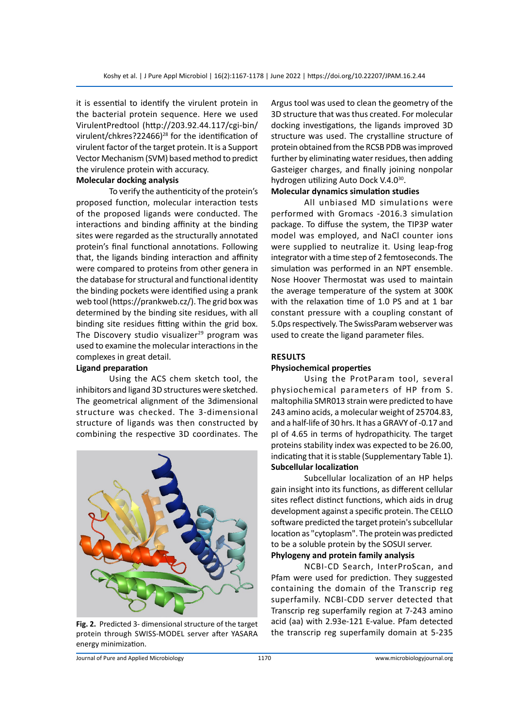it is essential to identify the virulent protein in the bacterial protein sequence. Here we used VirulentPredtool (http://203.92.44.117/cgi-bin/ virulent/chkres?22466)<sup>28</sup> for the identification of virulent factor of the target protein. It is a Support Vector Mechanism (SVM) based method to predict the virulence protein with accuracy.

## **Molecular docking analysis**

To verify the authenticity of the protein's proposed function, molecular interaction tests of the proposed ligands were conducted. The interactions and binding affinity at the binding sites were regarded as the structurally annotated protein's final functional annotations. Following that, the ligands binding interaction and affinity were compared to proteins from other genera in the database for structural and functional identity the binding pockets were identified using a prank web tool (https://prankweb.cz/). The grid box was determined by the binding site residues, with all binding site residues fitting within the grid box. The Discovery studio visualizer $^{29}$  program was used to examine the molecular interactions in the complexes in great detail.

## **Ligand preparation**

Using the ACS chem sketch tool, the inhibitors and ligand 3D structures were sketched. The geometrical alignment of the 3dimensional structure was checked. The 3-dimensional structure of ligands was then constructed by combining the respective 3D coordinates. The



**Fig. 2.** Predicted 3- dimensional structure of the target protein through SWISS-MODEL server after YASARA energy minimization.

Argus tool was used to clean the geometry of the 3D structure that was thus created. For molecular docking investigations, the ligands improved 3D structure was used. The crystalline structure of protein obtained from the RCSB PDB was improved further by eliminating water residues, then adding Gasteiger charges, and finally joining nonpolar hydrogen utilizing Auto Dock V.4.0<sup>30</sup>.

## **Molecular dynamics simulation studies**

All unbiased MD simulations were performed with Gromacs -2016.3 simulation package. To diffuse the system, the TIP3P water model was employed, and NaCl counter ions were supplied to neutralize it. Using leap-frog integrator with a time step of 2 femtoseconds. The simulation was performed in an NPT ensemble. Nose Hoover Thermostat was used to maintain the average temperature of the system at 300K with the relaxation time of 1.0 PS and at 1 bar constant pressure with a coupling constant of 5.0ps respectively. The SwissParam webserver was used to create the ligand parameter files.

## **RESULTS**

## **Physiochemical properties**

Using the ProtParam tool, several physiochemical parameters of HP from S. maltophilia SMR013 strain were predicted to have 243 amino acids, a molecular weight of 25704.83, and a half-life of 30 hrs. It has a GRAVY of -0.17 and pI of 4.65 in terms of hydropathicity. The target proteins stability index was expected to be 26.00, indicating that it is stable (Supplementary Table 1). **Subcellular localization**

Subcellular localization of an HP helps gain insight into its functions, as different cellular sites reflect distinct functions, which aids in drug development against a specific protein. The CELLO software predicted the target protein's subcellular location as "cytoplasm". The protein was predicted to be a soluble protein by the SOSUI server. **Phylogeny and protein family analysis**

NCBI-CD Search, InterProScan, and Pfam were used for prediction. They suggested containing the domain of the Transcrip reg superfamily. NCBI-CDD server detected that Transcrip reg superfamily region at 7-243 amino acid (aa) with 2.93e-121 E-value. Pfam detected the transcrip reg superfamily domain at 5-235

Journal of Pure and Applied Microbiology 1170 www.microbiologyjournal.org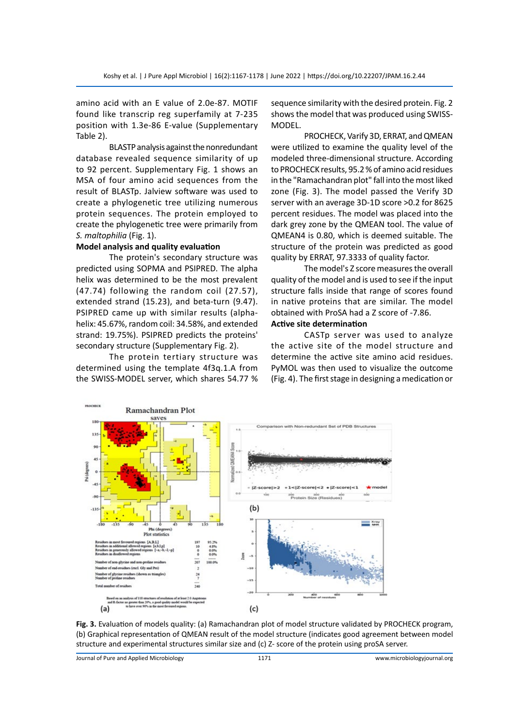amino acid with an E value of 2.0e-87. MOTIF found like transcrip reg superfamily at 7-235 position with 1.3e-86 E-value (Supplementary Table 2).

BLASTP analysis against the nonredundant database revealed sequence similarity of up to 92 percent. Supplementary Fig. 1 shows an MSA of four amino acid sequences from the result of BLASTp. Jalview software was used to create a phylogenetic tree utilizing numerous protein sequences. The protein employed to create the phylogenetic tree were primarily from *S. maltophilia* (Fig. 1).

## **Model analysis and quality evaluation**

The protein's secondary structure was predicted using SOPMA and PSIPRED. The alpha helix was determined to be the most prevalent (47.74) following the random coil (27.57), extended strand (15.23), and beta-turn (9.47). PSIPRED came up with similar results (alphahelix: 45.67%, random coil: 34.58%, and extended strand: 19.75%). PSIPRED predicts the proteins' secondary structure (Supplementary Fig. 2).

The protein tertiary structure was determined using the template 4f3q.1.A from the SWISS-MODEL server, which shares 54.77 % sequence similarity with the desired protein. Fig. 2 shows the model that was produced using SWISS-MODEL.

PROCHECK, Varify 3D, ERRAT, and QMEAN were utilized to examine the quality level of the modeled three-dimensional structure. According to PROCHECK results, 95.2 % of amino acid residues in the "Ramachandran plot" fall into the most liked zone (Fig. 3). The model passed the Verify 3D server with an average 3D-1D score >0.2 for 8625 percent residues. The model was placed into the dark grey zone by the QMEAN tool. The value of QMEAN4 is 0.80, which is deemed suitable. The structure of the protein was predicted as good quality by ERRAT, 97.3333 of quality factor.

The model's Z score measures the overall quality of the model and is used to see if the input structure falls inside that range of scores found in native proteins that are similar. The model obtained with ProSA had a Z score of -7.86.

# **Active site determination**

CASTp server was used to analyze the active site of the model structure and determine the active site amino acid residues. PyMOL was then used to visualize the outcome (Fig. 4). The first stage in designing a medication or



**Fig. 3.** Evaluation of models quality: (a) Ramachandran plot of model structure validated by PROCHECK program, (b) Graphical representation of QMEAN result of the model structure (indicates good agreement between model structure and experimental structures similar size and (c) Z- score of the protein using proSA server.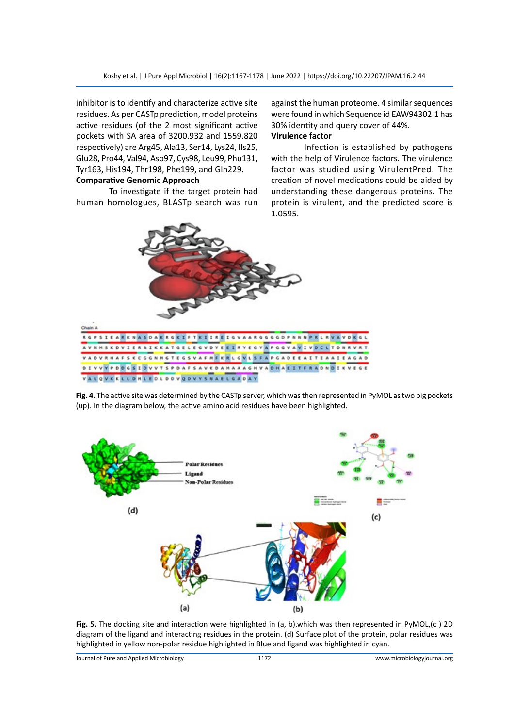inhibitor is to identify and characterize active site residues. As per CASTp prediction, model proteins active residues (of the 2 most significant active pockets with SA area of 3200.932 and 1559.820 respectively) are Arg45, Ala13, Ser14, Lys24, Ils25, Glu28, Pro44, Val94, Asp97, Cys98, Leu99, Phu131, Tyr163, His194, Thr198, Phe199, and Gln229.

# **Comparative Genomic Approach**

To investigate if the target protein had human homologues, BLASTp search was run against the human proteome. 4 similar sequences were found in which Sequence id EAW94302.1 has 30% identity and query cover of 44%.

# **Virulence factor**

Infection is established by pathogens with the help of Virulence factors. The virulence factor was studied using VirulentPred. The creation of novel medications could be aided by understanding these dangerous proteins. The protein is virulent, and the predicted score is 1.0595.



**Fig. 4.** The active site was determined by the CASTp server, which was then represented in PyMOL as two big pockets (up). In the diagram below, the active amino acid residues have been highlighted.



**Fig. 5.** The docking site and interaction were highlighted in (a, b).which was then represented in PyMOL,(c ) 2D diagram of the ligand and interacting residues in the protein. (d) Surface plot of the protein, polar residues was highlighted in yellow non-polar residue highlighted in Blue and ligand was highlighted in cyan.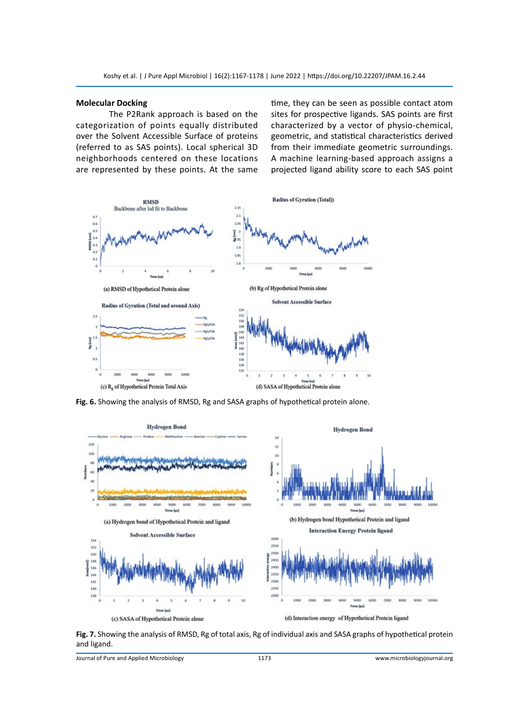## **Molecular Docking**

The P2Rank approach is based on the categorization of points equally distributed over the Solvent Accessible Surface of proteins (referred to as SAS points). Local spherical 3D neighborhoods centered on these locations are represented by these points. At the same time, they can be seen as possible contact atom sites for prospective ligands. SAS points are first characterized by a vector of physio-chemical, geometric, and statistical characteristics derived from their immediate geometric surroundings. A machine learning-based approach assigns a projected ligand ability score to each SAS point



**Fig. 6.** Showing the analysis of RMSD, Rg and SASA graphs of hypothetical protein alone.



**Fig. 7.** Showing the analysis of RMSD, Rg of total axis, Rg of individual axis and SASA graphs of hypothetical protein and ligand.

Journal of Pure and Applied Microbiology 1173 www.microbiologyjournal.org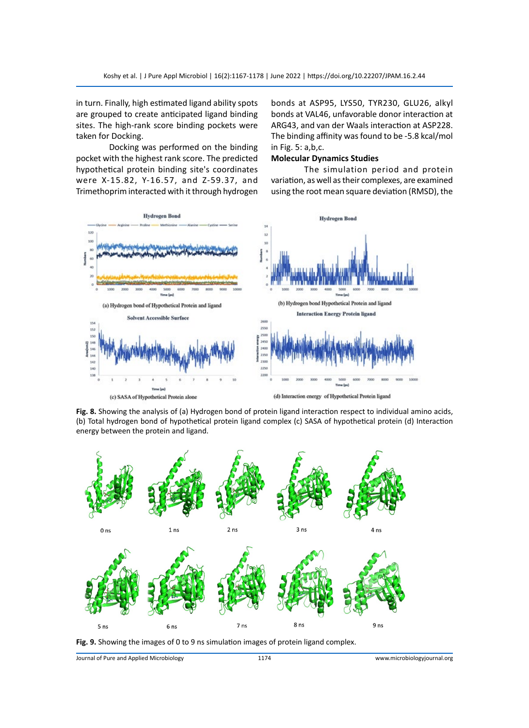in turn. Finally, high estimated ligand ability spots are grouped to create anticipated ligand binding sites. The high-rank score binding pockets were taken for Docking.

Docking was performed on the binding pocket with the highest rank score. The predicted hypothetical protein binding site's coordinates were X-15.82, Y-16.57, and Z-59.37, and Trimethoprim interacted with it through hydrogen bonds at ASP95, LYS50, TYR230, GLU26, alkyl bonds at VAL46, unfavorable donor interaction at ARG43, and van der Waals interaction at ASP228. The binding affinity was found to be -5.8 kcal/mol in Fig. 5: a,b,c.

## **Molecular Dynamics Studies**

The simulation period and protein variation, as well as their complexes, are examined using the root mean square deviation (RMSD), the



(c) SASA of Hypothetical Protein alone

(d) Interaction energy of Hypothetical Protein ligand

**Fig. 8.** Showing the analysis of (a) Hydrogen bond of protein ligand interaction respect to individual amino acids, (b) Total hydrogen bond of hypothetical protein ligand complex (c) SASA of hypothetical protein (d) Interaction energy between the protein and ligand.



**Fig. 9.** Showing the images of 0 to 9 ns simulation images of protein ligand complex.

Journal of Pure and Applied Microbiology 1174 www.microbiologyjournal.org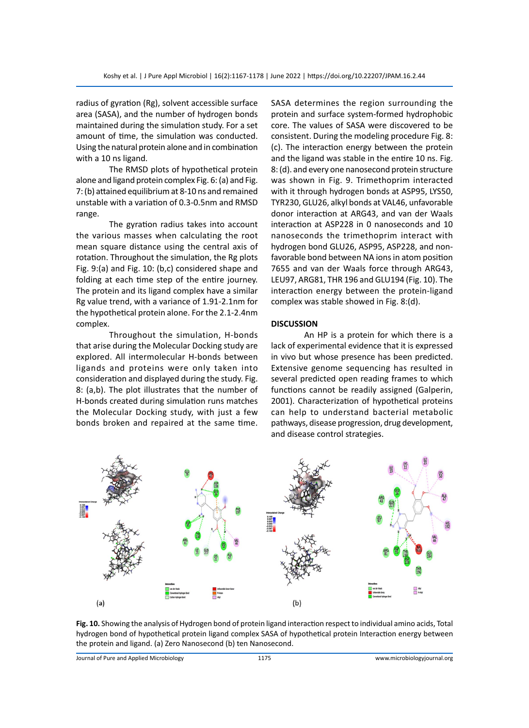radius of gyration (Rg), solvent accessible surface area (SASA), and the number of hydrogen bonds maintained during the simulation study. For a set amount of time, the simulation was conducted. Using the natural protein alone and in combination with a 10 ns ligand.

The RMSD plots of hypothetical protein alone and ligand protein complex Fig. 6: (a) and Fig. 7: (b) attained equilibrium at 8-10 ns and remained unstable with a variation of 0.3-0.5nm and RMSD range.

The gyration radius takes into account the various masses when calculating the root mean square distance using the central axis of rotation. Throughout the simulation, the Rg plots Fig. 9:(a) and Fig. 10: (b,c) considered shape and folding at each time step of the entire journey. The protein and its ligand complex have a similar Rg value trend, with a variance of 1.91-2.1nm for the hypothetical protein alone. For the 2.1-2.4nm complex.

Throughout the simulation, H-bonds that arise during the Molecular Docking study are explored. All intermolecular H-bonds between ligands and proteins were only taken into consideration and displayed during the study. Fig. 8: (a,b). The plot illustrates that the number of H-bonds created during simulation runs matches the Molecular Docking study, with just a few bonds broken and repaired at the same time. SASA determines the region surrounding the protein and surface system-formed hydrophobic core. The values of SASA were discovered to be consistent. During the modeling procedure Fig. 8: (c). The interaction energy between the protein and the ligand was stable in the entire 10 ns. Fig. 8: (d). and every one nanosecond protein structure was shown in Fig. 9. Trimethoprim interacted with it through hydrogen bonds at ASP95, LYS50, TYR230, GLU26, alkyl bonds at VAL46, unfavorable donor interaction at ARG43, and van der Waals interaction at ASP228 in 0 nanoseconds and 10 nanoseconds the trimethoprim interact with hydrogen bond GLU26, ASP95, ASP228, and nonfavorable bond between NA ions in atom position 7655 and van der Waals force through ARG43, LEU97, ARG81, THR 196 and GLU194 (Fig. 10). The interaction energy between the protein-ligand complex was stable showed in Fig. 8:(d).

## **DISCUSSION**

An HP is a protein for which there is a lack of experimental evidence that it is expressed in vivo but whose presence has been predicted. Extensive genome sequencing has resulted in several predicted open reading frames to which functions cannot be readily assigned (Galperin, 2001). Characterization of hypothetical proteins can help to understand bacterial metabolic pathways, disease progression, drug development, and disease control strategies.



**Fig. 10.** Showing the analysis of Hydrogen bond of protein ligand interaction respect to individual amino acids, Total hydrogen bond of hypothetical protein ligand complex SASA of hypothetical protein Interaction energy between the protein and ligand. (a) Zero Nanosecond (b) ten Nanosecond.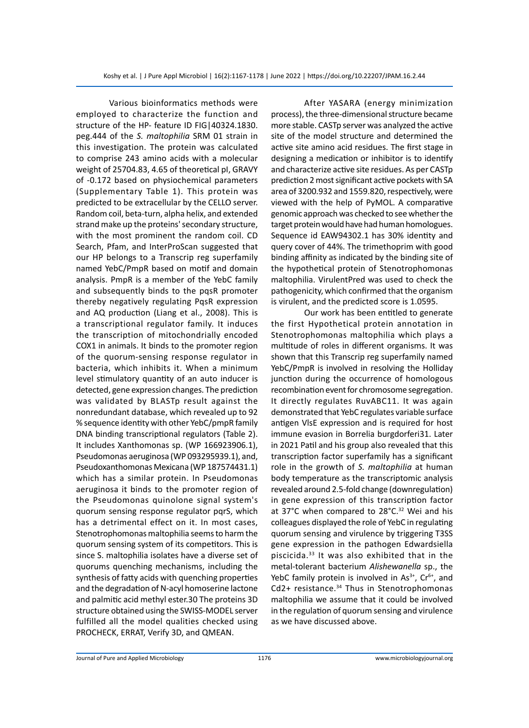Various bioinformatics methods were employed to characterize the function and structure of the HP- feature ID FIG|40324.1830. peg.444 of the *S. maltophilia* SRM 01 strain in this investigation. The protein was calculated to comprise 243 amino acids with a molecular weight of 25704.83, 4.65 of theoretical pI, GRAVY of -0.172 based on physiochemical parameters (Supplementary Table 1). This protein was predicted to be extracellular by the CELLO server. Random coil, beta-turn, alpha helix, and extended strand make up the proteins' secondary structure, with the most prominent the random coil. CD Search, Pfam, and InterProScan suggested that our HP belongs to a Transcrip reg superfamily named YebC/PmpR based on motif and domain analysis. PmpR is a member of the YebC family and subsequently binds to the pqsR promoter thereby negatively regulating PqsR expression and AQ production (Liang et al., 2008). This is a transcriptional regulator family. It induces the transcription of mitochondrially encoded COX1 in animals. It binds to the promoter region of the quorum-sensing response regulator in bacteria, which inhibits it. When a minimum level stimulatory quantity of an auto inducer is detected, gene expression changes. The prediction was validated by BLASTp result against the nonredundant database, which revealed up to 92 % sequence identity with other YebC/pmpR family DNA binding transcriptional regulators (Table 2). It includes Xanthomonas sp. (WP 166923906.1), Pseudomonas aeruginosa (WP 093295939.1), and, Pseudoxanthomonas Mexicana (WP 187574431.1) which has a similar protein. In Pseudomonas aeruginosa it binds to the promoter region of the Pseudomonas quinolone signal system's quorum sensing response regulator pqrS, which has a detrimental effect on it. In most cases, Stenotrophomonas maltophilia seems to harm the quorum sensing system of its competitors. This is since S. maltophilia isolates have a diverse set of quorums quenching mechanisms, including the synthesis of fatty acids with quenching properties and the degradation of N-acyl homoserine lactone and palmitic acid methyl ester.30 The proteins 3D structure obtained using the SWISS-MODEL server fulfilled all the model qualities checked using PROCHECK, ERRAT, Verify 3D, and QMEAN.

After YASARA (energy minimization process), the three-dimensional structure became more stable. CASTp server was analyzed the active site of the model structure and determined the active site amino acid residues. The first stage in designing a medication or inhibitor is to identify and characterize active site residues. As per CASTp prediction 2 most significant active pockets with SA area of 3200.932 and 1559.820, respectively, were viewed with the help of PyMOL. A comparative genomic approach was checked to see whether the target protein would have had human homologues. Sequence id EAW94302.1 has 30% identity and query cover of 44%. The trimethoprim with good binding affinity as indicated by the binding site of the hypothetical protein of Stenotrophomonas maltophilia. VirulentPred was used to check the pathogenicity, which confirmed that the organism is virulent, and the predicted score is 1.0595.

Our work has been entitled to generate the first Hypothetical protein annotation in Stenotrophomonas maltophilia which plays a multitude of roles in different organisms. It was shown that this Transcrip reg superfamily named YebC/PmpR is involved in resolving the Holliday junction during the occurrence of homologous recombination event for chromosome segregation. It directly regulates RuvABC11. It was again demonstrated that YebC regulates variable surface antigen VlsE expression and is required for host immune evasion in Borrelia burgdorferi31. Later in 2021 Patil and his group also revealed that this transcription factor superfamily has a significant role in the growth of *S. maltophilia* at human body temperature as the transcriptomic analysis revealed around 2.5-fold change (downregulation) in gene expression of this transcription factor at 37°C when compared to 28°C.<sup>32</sup> Wei and his colleagues displayed the role of YebC in regulating quorum sensing and virulence by triggering T3SS gene expression in the pathogen Edwardsiella piscicida.33 It was also exhibited that in the metal-tolerant bacterium *Alishewanella* sp., the YebC family protein is involved in  $As<sup>3+</sup>$ , Cr<sup>6+</sup>, and Cd2+ resistance.<sup>34</sup> Thus in Stenotrophomonas maltophilia we assume that it could be involved in the regulation of quorum sensing and virulence as we have discussed above.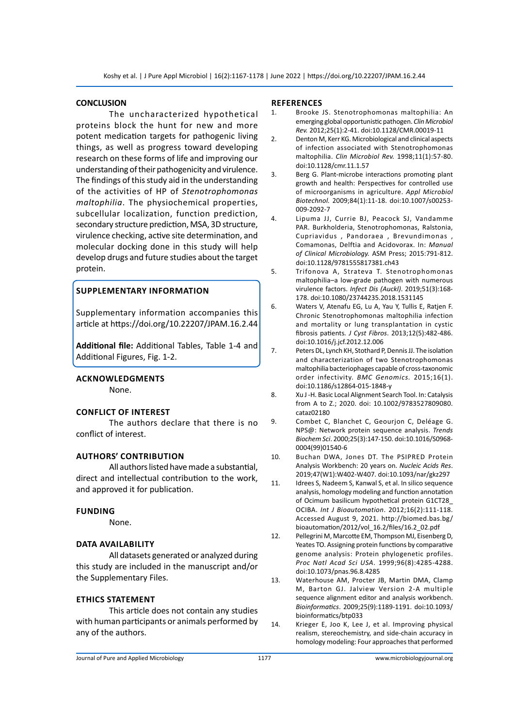#### **CONCLUSION**

The uncharacterized hypothetical proteins block the hunt for new and more potent medication targets for pathogenic living things, as well as progress toward developing research on these forms of life and improving our understanding of their pathogenicity and virulence. The findings of this study aid in the understanding of the activities of HP of *Stenotrophomonas maltophilia*. The physiochemical properties, subcellular localization, function prediction, secondary structure prediction, MSA, 3D structure, virulence checking, active site determination, and molecular docking done in this study will help develop drugs and future studies about the target protein.

# **Supplementary information**

Supplementary information accompanies this article at https://doi.org/10.22207/JPAM.16.2.44

**Additional file:** Additional Tables, Table 1-4 and Additional Figures, Fig. 1-2.

## **Acknowledgments**

None.

#### **conflict of interest**

The authors declare that there is no conflict of interest.

## **Authors' Contribution**

All authors listed have made a substantial, direct and intellectual contribution to the work, and approved it for publication.

#### **funding**

None.

#### **Data availability**

All datasets generated or analyzed during this study are included in the manuscript and/or the Supplementary Files.

#### **Ethics Statement**

This article does not contain any studies with human participants or animals performed by any of the authors.

#### **References**

- 1. Brooke JS. Stenotrophomonas maltophilia: An emerging global opportunistic pathogen. *Clin Microbiol Rev.* 2012;25(1):2-41. doi:10.1128/CMR.00019-11
- 2. Denton M, Kerr KG. Microbiological and clinical aspects of infection associated with Stenotrophomonas maltophilia. *Clin Microbiol Rev.* 1998;11(1):57-80. doi:10.1128/cmr.11.1.57
- 3. Berg G. Plant-microbe interactions promoting plant growth and health: Perspectives for controlled use of microorganisms in agriculture. *Appl Microbiol Biotechnol.* 2009;84(1):11-18. doi:10.1007/s00253- 009-2092-7
- 4. Lipuma JJ, Currie BJ, Peacock SJ, Vandamme PAR. Burkholderia, Stenotrophomonas, Ralstonia, Cupriavidus , Pandoraea , Brevundimonas , Comamonas, Delftia and Acidovorax. In: *Manual of Clinical Microbiology.* ASM Press; 2015:791-812. doi:10.1128/9781555817381.ch43
- 5. Trifonova A, Strateva T. Stenotrophomonas maltophilia–a low-grade pathogen with numerous virulence factors. *Infect Dis (Auckl)*. 2019;51(3):168- 178. doi:10.1080/23744235.2018.1531145
- 6. Waters V, Atenafu EG, Lu A, Yau Y, Tullis E, Ratjen F. Chronic Stenotrophomonas maltophilia infection and mortality or lung transplantation in cystic fibrosis patients*. J Cyst Fibros*. 2013;12(5):482-486. doi:10.1016/j.jcf.2012.12.006
- 7. Peters DL, Lynch KH, Stothard P, Dennis JJ. The isolation and characterization of two Stenotrophomonas maltophilia bacteriophages capable of cross-taxonomic order infectivity. *BMC Genomics.* 2015;16(1). doi:10.1186/s12864-015-1848-y
- 8. Xu J -H. Basic Local Alignment Search Tool. In: Catalysis from A to Z.; 2020. doi: 10.1002/9783527809080. cataz02180
- 9. Combet C, Blanchet C, Geourjon C, Deléage G. NPS@: Network protein sequence analysis. *Trends Biochem Sci*. 2000;25(3):147-150. doi:10.1016/S0968- 0004(99)01540-6
- 10. Buchan DWA, Jones DT. The PSIPRED Protein Analysis Workbench: 20 years on. *Nucleic Acids Res*. 2019;47(W1):W402-W407. doi:10.1093/nar/gkz297
- 11. Idrees S, Nadeem S, Kanwal S, et al. In silico sequence analysis, homology modeling and function annotation of Ocimum basilicum hypothetical protein G1CT28\_ OCIBA. *Int J Bioautomation*. 2012;16(2):111-118. Accessed August 9, 2021. http://biomed.bas.bg/ bioautomation/2012/vol\_16.2/files/16.2\_02.pdf
- 12. Pellegrini M, Marcotte EM, Thompson MJ, Eisenberg D, Yeates TO. Assigning protein functions by comparative genome analysis: Protein phylogenetic profiles. *Proc Natl Acad Sci USA*. 1999;96(8):4285-4288. doi:10.1073/pnas.96.8.4285
- 13. Waterhouse AM, Procter JB, Martin DMA, Clamp M, Barton GJ. Jalview Version 2-A multiple sequence alignment editor and analysis workbench. *Bioinformatics*. 2009;25(9):1189-1191. doi:10.1093/ bioinformatics/btp033
- 14. Krieger E, Joo K, Lee J, et al. Improving physical realism, stereochemistry, and side-chain accuracy in homology modeling: Four approaches that performed